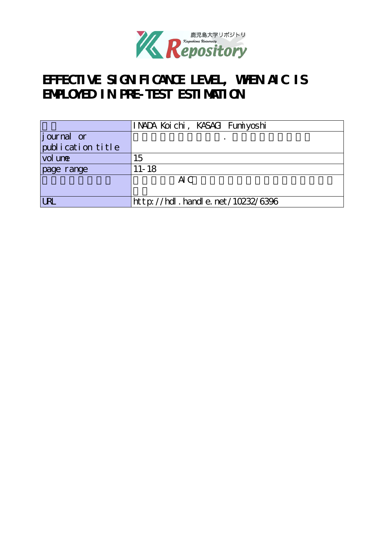

# EFFECTIVE SIGN FICANCE LEVEL, WHEN AIC IS **EMPLOYED IN PRE-TEST ESTIMATION**

|                                | INADA Koichi, KASAGI Fumiyoshi   |
|--------------------------------|----------------------------------|
| <i>j</i> ournal or             |                                  |
| $\mathrm{publ}$ i cation title |                                  |
| vol une                        | 15                               |
| page range                     | $11 - 18$                        |
|                                | AC                               |
|                                |                                  |
| <b>LRL</b>                     | http://hdl.handle.net/10232/6396 |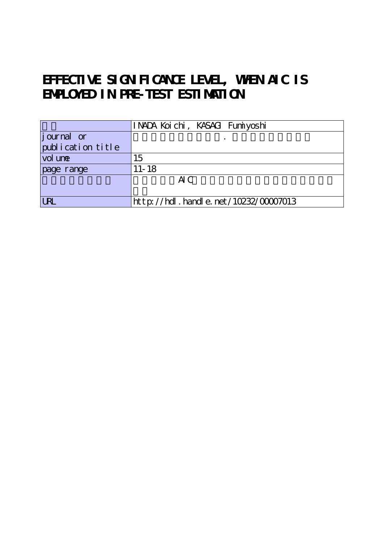## EFFECTIVE SIGN FICANCE LEVEL, WHEN AIC IS **EMPLOYED IN PRE-TEST ESTIMATION**

|                          | INADA Koichi, KASAGI Fumiyoshi           |
|--------------------------|------------------------------------------|
| journal or               |                                          |
| $\int$ publication title |                                          |
| vol une                  | 15                                       |
| page range               | $11 - 18$                                |
|                          | AC                                       |
|                          |                                          |
| <b>LRL</b>               | $http://hdl. handle. net/10232/00007013$ |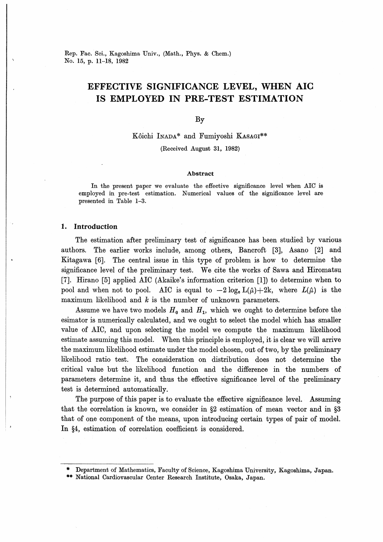Rep. Fac. Sci., Kagoshima Univ., (Math., Phys. & Chem.) No. 15, p. 11-18, 1982

## EFFECTIVE SIGNIFICANCE LEVEL, WHEN AIC IS EMPLOYED IN PRE-TEST ESTIMATION

By

Kôichi Inada\* and Fumiyoshi Kasagi\*\*

(Received August 31, 1982)

#### Abstract

In the present paper we evaluate the effective significance level when AIC is employed in pre-test estimation. Numerical values of the significance level are presented in Table 1-3.

#### 1. Introduction

The estimation after preliminary test of significance has been studied by various authors. The earlier works include, among others, Bancroft [3], Asano [2] and Kitagawa [6]. The central issue in this type of problem is how to determine the significance level of the preliminary test. We cite the works of Sawa and Hiromatsu [7]. Hirano [5] applied AIC (Akaike's information criterion [1]) to determine when to pool and when not to pool. AIC is equal to  $-2\log_{e}L(\hat{\mu})+2k$ , where  $L(\hat{\mu})$  is the maximum likelihood and  $k$  is the number of unknown parameters.

Assume we have two models  $H_0$  and  $H_1$ , which we ought to determine before the esimator is numerically calculated, and we ought to select the model which has smaller value of AIC, and upon selecting the model we compute the maximum likelihood estimate assuming this model. When this principle is employed, it is clear we will arrive the maximum likelihood estimate under the model chosen, out of two, by the preliminary likelihood ratio test. The consideration on distribution does not determine the critical value but the likelihood function and the difference in the numbers of parameters determine it, and thus the effective significance level of the preliminary test is determined automatically.

The purpose of this paper is to evaluate the effective significance level. Assuming that the correlation is known, we consider in  $\S2$  estimation of mean vector and in  $\S3$ that of one component of the means, upon introducing certain types of pair of model. In §4, estimation of correlation coefficient is considered.

Department of Mathematics, Faculty of Science, Kagoshima University, Kagoshima, Japan.

<sup>\*\*</sup> National Cardiovascular Center Research Institute, Osaka, Japan.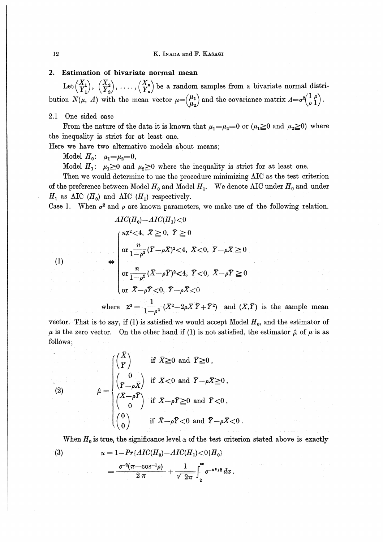#### K. INADA and F. KASAGI

### 2. Estimation of bivariate normal mean

Let  $\begin{pmatrix} X_1 \\ Y_1 \end{pmatrix}$ ,  $\begin{pmatrix} X_2 \\ Y_2 \end{pmatrix}$ , ...,  $\begin{pmatrix} X_n \\ Y_n \end{pmatrix}$  be a random samples from a bivariate normal distribution  $N(\mu, A)$  with the mean vector  $\mu = \begin{pmatrix} \mu_1 \\ \mu_2 \end{pmatrix}$  and the covariance matrix  $A = \sigma^2 \begin{pmatrix} 1 & \rho \\ \rho & 1 \end{pmatrix}$ .

#### $2.1$ One sided case

 $\sim 10^{-11}$ 

 $\sigma$  ,  $\sigma_{\rm{max}}$ 

 $\mathbb{C}(1)$ 

From the nature of the data it is known that  $\mu_1 = \mu_2 = 0$  or  $(\mu_1 \ge 0$  and  $\mu_2 \ge 0)$  where the inequality is strict for at least one.

Here we have two alternative models about means;

Model  $H_0$ :  $\mu_1 = \mu_2 = 0$ ,

Model  $H_1$ :  $\mu_1 \ge 0$  and  $\mu_2 \ge 0$  where the inequality is strict for at least one.

Then we would determine to use the procedure minimizing AIC as the test criterion of the preference between Model  $H_0$  and Model  $H_1$ . We denote AIC under  $H_0$  and under  $H_1$  as AIC ( $H_0$ ) and AIC ( $H_1$ ) respectively.

Case 1. When  $\sigma^2$  and  $\rho$  are known parameters, we make use of the following relation.

$$
AIC(H_0) - AIC(H_1) < 0
$$
  
\n
$$
\begin{cases}\nn\chi^2 < 4, \ \overline{X} \ge 0, \ \overline{Y} \ge 0 \\
\text{or } \frac{n}{1 - \rho^2} (\overline{Y} - \rho \overline{X})^2 < 4, \ \overline{X} < 0, \ \overline{Y} - \rho \overline{X} \ge 0 \\
\text{or } \frac{n}{1 - \rho^2} (\overline{X} - \rho \overline{Y})^2 < 4, \ \overline{Y} < 0, \ \overline{X} - \rho \overline{Y} \ge 0 \\
\text{or } \overline{X} - \rho \overline{Y} < 0, \ \overline{Y} - \rho \overline{X} < 0\n\end{cases}
$$

where  $\mathbf{X}^2 = \frac{1}{1-\rho^2} (\bar{X}^2 - 2\rho \bar{X} \bar{Y} + \bar{Y}^2)$  and  $(\bar{X}, \bar{Y})$  is the sample mean

vector. That is to say, if (1) is satisfied we would accept Model  $H_0$ , and the estimator of  $\mu$  is the zero vector. On the other hand if (1) is not satisfied, the estimator  $\hat{\mu}$  of  $\mu$  is as follows;

(2) 
$$
\hat{\mu} = \begin{cases} \begin{pmatrix} \bar{X} \\ \bar{Y} \end{pmatrix} & \text{if } \bar{X} \geq 0 \text{ and } \bar{Y} \geq 0, \\ \begin{pmatrix} 0 \\ \bar{Y} - \rho \bar{X} \end{pmatrix} & \text{if } \bar{X} < 0 \text{ and } \bar{Y} - \rho \bar{X} \geq 0, \\ \begin{pmatrix} \bar{X} - \rho \bar{Y} \\ 0 \end{pmatrix} & \text{if } \bar{X} - \rho \bar{Y} \geq 0 \text{ and } \bar{Y} < 0, \\ \begin{pmatrix} 0 \\ 0 \end{pmatrix} & \text{if } \bar{X} - \rho \bar{Y} < 0 \text{ and } \bar{Y} - \rho \bar{X} < 0. \end{cases}
$$

When  $H_0$  is true, the significance level  $\alpha$  of the test criterion stated above is exactly  $\alpha = 1 - Pr\{AIC(H_0) - AIC(H_1) < 0 | H_0\}$  $(3)$ 

$$
=\frac{e^{-2}(\pi-\cos^{-1}\rho)}{2 \pi}+\frac{1}{\sqrt{2\pi}}\int_{2}^{\infty}e^{-x^{2}/2}dx
$$

12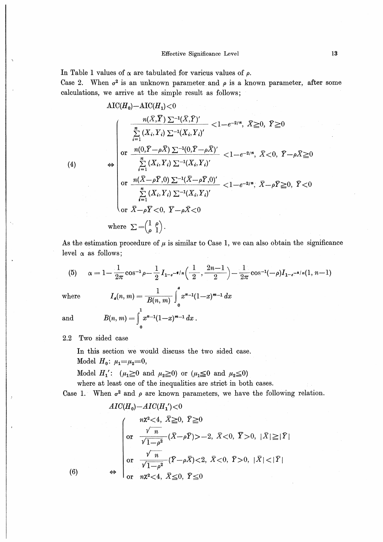In Table 1 values of  $\alpha$  are tabulated for various values of  $\rho$ .

Case 2. When  $\sigma^2$  is an unknown parameter and  $\rho$  is a known parameter, after some calculations, we arrive at the simple result as follows;

$$
\text{AIC}(H_0) - \text{AIC}(H_1) < 0
$$
\n
$$
\frac{n(\bar{X}, \bar{Y}) \sum_{i=1}^{n} (X_i, \bar{Y}_i)'}{\sum_{i=1}^{n} (X_i, Y_i) \sum_{i=1}^{n} (X_i, \bar{Y}_i)'} < 1 - e^{-2/\eta}, \ \bar{X} \ge 0, \ \bar{Y} \ge 0
$$
\n
$$
\text{(4)} \qquad \Leftrightarrow \qquad \frac{n(0, \bar{Y} - \rho \bar{X}) \sum_{i=1}^{n} (0, \bar{Y} - \rho \bar{X})'}{\sum_{i=1}^{n} (X_i, Y_i) \sum_{i=1}^{n} (X_i, \bar{Y}_i)'} < 1 - e^{-2/\eta}, \ \bar{X} < 0, \ \bar{Y} - \rho \bar{X} \ge 0
$$
\n
$$
\text{or } \frac{n(\bar{X} - \rho \bar{Y}, 0) \sum_{i=1}^{n} (X_i, \bar{Y}_i) \sum_{i=1}^{n} (X_i, \bar{Y}_i)'}{\text{or } \ \bar{X} - \rho \bar{Y} < 0, \ \bar{Y} - \rho \bar{X} < 0}
$$
\n
$$
\text{where } \sum_{i=1}^{n} \left(\frac{1}{\rho}\right).
$$

As the estimation procedure of  $\mu$  is similar to Case 1, we can also obtain the significance level  $\alpha$  as follows;

(5) 
$$
\alpha = 1 - \frac{1}{2\pi} \cos^{-1} \rho - \frac{1}{2} I_{1-e^{-\frac{1}{2}}/n} \left( \frac{1}{2}, \frac{2n-1}{2} \right) - \frac{1}{2\pi} \cos^{-1}(-\rho) I_{1-e^{-\frac{1}{2}}/n} (1, n-1)
$$

where 
$$
I_a(n, m) = \frac{1}{B(n, m)} \int_0^a x^{n-1} (1-x)^{m-1} dx
$$
  
and 
$$
B(n, m) = \int_0^1 x^{n-1} (1-x)^{m-1} dx.
$$

 $(6)$ 

2.2 Two sided case

In this section we would discuss the two sided case.

Model  $H_0: \mu_1 = \mu_2 = 0$ ,

Model  $H_1'$ :  $(\mu_1 \ge 0 \text{ and } \mu_2 \ge 0)$  or  $(\mu_1 \le 0 \text{ and } \mu_2 \le 0)$ 

where at least one of the inequalities &re strict in both cases.

Case 1. When  $\sigma^2$  and  $\rho$  are known parameters, we have the following relation.

$$
AIC(H_0) - AIC(H_1') < 0
$$
  
\n
$$
\begin{cases}\n n\chi^2 < 4, & \bar{X} \ge 0, \ \bar{Y} \ge 0 \\
 \text{or} & \frac{\sqrt{n}}{\sqrt{1-\rho^2}} (\bar{X} - \rho \bar{Y}) > -2, & \bar{X} < 0, \ \bar{Y} > 0, \ |\bar{X}| \ge |\bar{Y}| \\
 \text{or} & \frac{\sqrt{n}}{\sqrt{1-\rho^2}} (\bar{Y} - \rho \bar{X}) < 2, & \bar{X} < 0, \ \bar{Y} > 0, \ |\bar{X}| < |\bar{Y}| \\
 \text{or} & n\chi^2 < 4, & \bar{X} \le 0, \ \bar{Y} \le 0\n \end{cases}
$$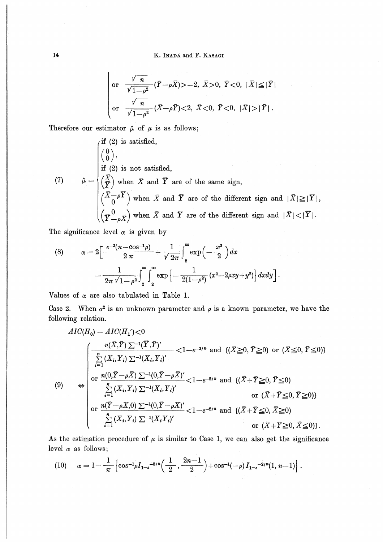$$
\begin{array}{ll}\n\text{or} & \frac{\sqrt{n}}{\sqrt{1-\rho^2}} (\bar{Y}-\rho \bar{X}) > -2, \ \bar{X} > 0, \ \bar{Y} < 0, \ |\bar{X}| \leq |\bar{Y}| \\
\text{or} & \frac{\sqrt{n}}{\sqrt{1-\rho^2}} (\bar{X}-\rho \bar{Y}) < 2, \ \bar{X} < 0, \ \bar{Y} < 0, \ |\bar{X}| > |\bar{Y}| \ .\n\end{array}
$$

Therefore our estimator  $\hat{\mu}$  of  $\mu$  is as follows;

(7) 
$$
\hat{\mu} = \begin{cases} \text{if (2) is satisfied,} \\ \begin{pmatrix} 0 \\ 0 \end{pmatrix}, \\ \text{if (2) is not satisfied,} \\ \begin{pmatrix} \overline{X} \\ \overline{Y} \end{pmatrix} \text{ when } \overline{X} \text{ and } \overline{Y} \text{ are of the same sign,} \\ \begin{pmatrix} \overline{X} - \rho \overline{Y} \\ \begin{pmatrix} \overline{X} - \rho \overline{Y} \end{pmatrix} \text{ when } \overline{X} \text{ and } \overline{Y} \text{ are of the different sign and } |\overline{X}| \geq |\overline{Y}|, \\ \begin{pmatrix} \nabla - \rho \overline{X} \end{pmatrix} \text{ when } \overline{X} \text{ and } \overline{Y} \text{ are of the different sign and } |\overline{X}| < |\overline{Y}|. \end{cases}
$$

The significance level  $\alpha$  is given by

(8) 
$$
\alpha = 2 \left[ \frac{e^{-2} (\pi - \cos^{-1} \rho)}{2 \pi} + \frac{1}{\sqrt{2\pi}} \int_{2}^{\infty} \exp \left( -\frac{x^{2}}{2} \right) dx - \frac{1}{2\pi \sqrt{1 - \rho^{2}}} \int_{2}^{\infty} \exp \left[ -\frac{1}{2(1 - \rho^{2})} (x^{2} - 2\rho xy + y^{2}) \right] dx dy \right].
$$

Values of  $\alpha$  are also tabulated in Table 1.

Case 2. When  $\sigma^2$  is an unknown parameter and  $\rho$  is a known parameter, we have the following relation.

$$
AIC(H_0) - AIC(H_1') < 0
$$
\n
$$
\begin{cases}\n\frac{n(\bar{X}, \bar{Y}) \sum^{-1} (\bar{Y}, \bar{Y})'}{\sum_{i=1}^{n} (X_i, Y_i) \sum^{-1} (X_i, Y_i)'}, < 1 - e^{-2/n} \text{ and } \{(\bar{X} \ge 0, \bar{Y} \ge 0) \text{ or } (\bar{X} \le 0, \bar{Y} \le 0)\} \\
\text{or } \frac{n(0, \bar{Y} - \rho \bar{X}) \sum^{-1} (0, \bar{Y} - \rho \bar{X})'}{\sum_{i=1}^{n} (X_i, Y_i) \sum^{-1} (X_i, Y_i)'}, < 1 - e^{-2/n} \text{ and } \{(\bar{X} + \bar{Y} \ge 0, \bar{Y} \le 0) \text{ or } (\bar{X} + \bar{Y} \le 0, \bar{Y} \ge 0)\} \\
\text{or } \frac{n(\bar{Y} - \rho X, 0) \sum^{-1} (0, \bar{Y} - \rho X)'}{\sum_{i=1}^{n} (X_i, Y_i) \sum^{-1} (X_i, Y_i)'} < 1 - e^{-2/n} \text{ and } \{(\bar{X} + \bar{Y} \le 0, \bar{X} \ge 0) \text{ or } (\bar{X} + \bar{Y} \ge 0, \bar{X} \le 0)\}.\n\end{cases}
$$

As the estimation procedure of  $\mu$  is similar to Case 1, we can also get the significance level  $\alpha$  as follows;

(10) 
$$
\alpha = 1 - \frac{1}{\pi} \left[ \cos^{-1} \rho I_{1-e}^{-3/\pi} \left( \frac{1}{2}, \frac{2n-1}{2} \right) + \cos^{-1}(-\rho) I_{1-e}^{-2/\pi} (1, n-1) \right].
$$

 $14$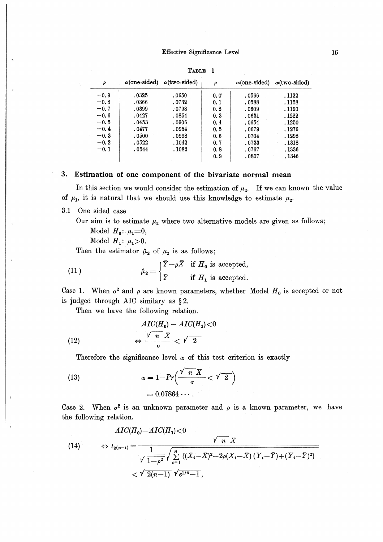| $\alpha$ (one-sided)<br>ρ |        | $\alpha$ (two-sided) | ρ   | $\alpha$ (one-sided) | $\alpha$ (two-sided) |  |
|---------------------------|--------|----------------------|-----|----------------------|----------------------|--|
| $-0.9$                    | .0325  | .0650                | 0.0 | .0566                | . 1122               |  |
| $-0.8$                    | .0366  | .0732                | 0.1 | .0588                | . 1158               |  |
| $-0.7$                    | .0399  | .0798                | 0.2 | .0609                | . 1190               |  |
| $-0.6$                    | .0427  | .0854                | 0.3 | .0631                | . 1222               |  |
| $-0.5$                    | .0453  | .0906                | 0.4 | .0654                | . 1250               |  |
| $-0.4$                    | . 0477 | .0954                | 0.5 | .0679                | . 1276               |  |
| $-0.3$                    | .0500  | .0998                | 0.6 | .0704                | . 1298               |  |
| $-0.2$                    | .0522  | . 1042               | 0.7 | .0733                | .1318                |  |
| $-0.1$                    | .0544  | . 1082               | 0.8 | .0767                | . 1336               |  |
|                           |        |                      | 0.9 | .0807                | . 1346               |  |

TABLE 1

### 3. Estimation of one component of the bivariate normal mean

In this section we would consider the estimation of  $\mu_2$ . If we can known the value of  $\mu_1$ , it is natural that we should use this knowledge to estimate  $\mu_2$ .

3.1 One sided case

Our aim is to estimate  $\mu_2$  where two alternative models are given as follows;

Model  $H_0: \mu_1 = 0$ ,

Model  $H_1: \mu_1 > 0$ .

Then the estimator  $\hat{\mu}_2$  of  $\mu_2$  is as follows;

(11) 
$$
\hat{\mu}_2 = \begin{cases} \bar{Y} - \rho \bar{X} & \text{if } H_0 \text{ is accepted,} \\ \bar{Y} & \text{if } H_1 \text{ is accepted.} \end{cases}
$$

Case 1. When  $\sigma^2$  and  $\rho$  are known parameters, whether Model  $H_0$  is accepted or not is judged through AIC similary as §2.

Then we have the following relation.

(12) 
$$
\frac{AIC(H_0) - AIC(H_1) < 0}{\sigma} \Leftrightarrow \frac{\sqrt{n} \bar{X}}{\sigma} < \sqrt{2}
$$

Therefore the significance level  $\alpha$  of this test criterion is exactly

(13) 
$$
\alpha = 1 - Pr\left(\frac{\sqrt{n} X}{\sigma} < \sqrt{2}\right)
$$

$$
= 0.07864 \cdots
$$

Case 2. When  $\sigma^2$  is an unknown parameter and  $\rho$  is a known parameter, we have the following relation.

$$
(14) \qquad \Leftrightarrow t_{2(n-1)} = \frac{\sqrt{n} \overline{X}}{\sqrt{1 - \rho^2}} \sqrt{\sum_{i=1}^{n} \left\{ (X_i - \overline{X})^2 - 2\rho (X_i - \overline{X}) \left( Y_i - \overline{Y} \right) + (Y_i - \overline{Y})^2 \right\}} \right. \\
\ll \sqrt{2(n-1)} \sqrt{e^{1/n} - 1},
$$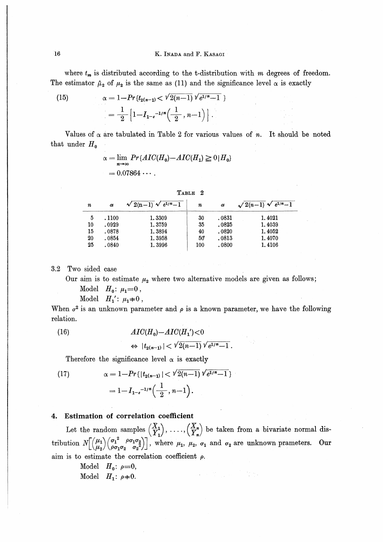where  $t_m$  is distributed according to the t-distribution with  $m$  degrees of freedom. The estimator  $\hat{\mu}_2$  of  $\mu_2$  is the same as (11) and the significance level  $\alpha$  is exactly

(15) 
$$
\alpha = 1 - Pr\{t_{2(n-1)} < \sqrt{2(n-1)}\sqrt{e^{1/n} - 1}\}
$$

$$
= \frac{1}{2} \left\{ 1 - I_{1-e}^{-1/n} \left( \frac{1}{2}, n - 1 \right) \right\}.
$$

Values of  $\alpha$  are tabulated in Table 2 for various values of n. It should be noted that under  $H_0$ 

$$
\alpha = \lim_{n \to \infty} Pr\{AIC(H_0) - AIC(H_1) \ge 0 | H_0\}
$$
  
= 0.07864...

| n  | $\alpha$ | $\sqrt{2(n-1)} \sqrt{e^{1/n}-1}$ | n   | $\alpha$ | $\sqrt{2(n-1)} \sqrt{e^{1/n}-1}$ |
|----|----------|----------------------------------|-----|----------|----------------------------------|
| 5  | . 1100   | 1.3309                           | 30  | .0831    | 1.4021                           |
| 10 | .0929    | 1.3759                           | 35  | .0825    | 1.4039                           |
| 15 | .0878    | 1.3894                           | 40  | .0820    | 1.4052                           |
| 20 | .0854    | 1.3958                           | 50  | .0813    | 1.4070                           |
| 25 | .0840    | 1.3996                           | 100 | .0800    | 1.4106                           |

Two sided case  $3.2\phantom{0}$ 

Our aim is to estimate  $\mu_2$  where two alternative models are given as follows;

Model  $H_0: \mu_1 = 0$ ,

$$
\text{Model} \quad H_1': \mu_1 = 0 \,,
$$

When  $\sigma^2$  is an unknown parameter and  $\rho$  is a known parameter, we have the following relation.

(16) 
$$
AIC(H_0) - AIC(H_1') < 0
$$

$$
\Leftrightarrow |t_{2(n-1)}| < \sqrt{2(n-1)} \sqrt{e^{1/n} - 1}.
$$

Therefore the significance level  $\alpha$  is exactly

(17) 
$$
\alpha = 1 - Pr\{ |t_{2(n-1)}| < \sqrt{2(n-1)} \sqrt{e^{1/n} - 1} \}
$$

$$
= 1 - I_{1-e}^{-1/n} \left( \frac{1}{2}, n-1 \right).
$$

#### Estimation of correlation coefficient 4.

Let the random samples  $\begin{pmatrix} X_1 \\ Y_1 \end{pmatrix}$ , ...,  $\begin{pmatrix} X_n \\ Y_n \end{pmatrix}$  be taken from a bivariate normal distribution  $N\begin{bmatrix} (\mu_1) (\sigma_1^2 \rho \sigma_1 \sigma_2) \\ \mu_2 \end{bmatrix}$ , where  $\mu_1$ ,  $\mu_2$ ,  $\sigma_1$  and  $\sigma_2$  are unknown prameter aim is to estimate the correlation coefficient  $\rho$ .

the se

Model 
$$
H_0
$$
:  $\rho=0$ ,  
Model  $H_1$ :  $\rho=0$ .

 $16$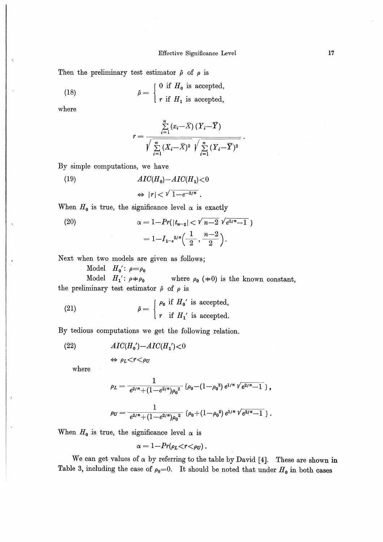Then the preliminary test estimator  $\hat{\rho}$  of  $\rho$  is

(18) 
$$
\hat{\rho} = \begin{cases} 0 & \text{if } H_0 \text{ is accepted,} \\ r & \text{if } H_1 \text{ is accepted,} \end{cases}
$$

where

$$
r = \frac{\sum\limits_{i=1}^{n} (x_i - \overline{X}) (Y_i - \overline{Y})}{\sqrt{\sum\limits_{i=1}^{n} (X_i - \overline{X})^2} \sqrt{\sum\limits_{i=1}^{n} (Y_i - \overline{Y})^2}}.
$$

By simple computations, we have

(19)  $AIC(H_0) - AIC(H_1) < 0$  $\Leftrightarrow$   $|r| < \sqrt{1-e^{-2/n}}$ .

When  $H_0$  is true, the significance level  $\alpha$  is exactly

(20) 
$$
\alpha = 1 - Pr(|t_{n-2}| < \sqrt{n-2} \sqrt{e^{2/n}-1})
$$

$$
= 1 - I_{1-e^{2/n}}\left(\frac{1}{2}, \frac{n-2}{2}\right).
$$

Next when two models are given as follows;

Model  $H_0$ :  $\rho = \rho_0$ 

Model  $H_1$ :  $\rho \neq \rho_0$  where  $\rho_0$  ( $\neq 0$ ) is the known constant, the preliminary test estimator  $\hat{\rho}$  of  $\rho$  is

(21) 
$$
\hat{\rho} = \begin{cases} \rho_0 & \text{if } H_0' \text{ is accepted,} \\ r & \text{if } H_1' \text{ is accepted.} \end{cases}
$$

By tedious computations we get the following relation.

(22) 
$$
AIC(H_0') - AIC(H_1') < 0
$$

$$
\Leftrightarrow \rho_L < r < \rho_U
$$

where

$$
\rho_L = \frac{1}{e^{2/n} + (1 - e^{2/n}){\rho_0}^2} \left\{ \rho_0 - (1 - \rho_0^2) e^{1/n} \sqrt{e^{2/n} - 1} \right\},
$$
  

$$
\rho_U = \frac{1}{e^{2/n} + (1 - e^{2/n}){\rho_0}^2} \left\{ \rho_0 + (1 - \rho_0^2) e^{1/n} \sqrt{e^{2/n} - 1} \right\}.
$$

When  $H_0$  is true, the significance level  $\alpha$  is

 $\alpha = 1 - Pr(\rho_L < r < \rho_U)$ .

We can get values of  $\alpha$  by referring to the table by David [4]. These are shown in Table 3, including the case of  $\rho_0=0$ . It should be noted that under  $H_0$  in both cases